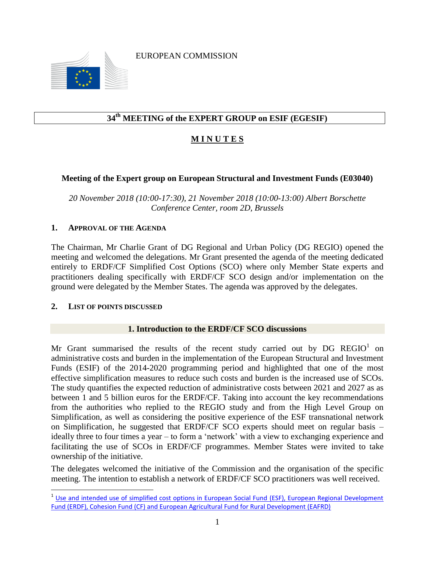EUROPEAN COMMISSION



## **34 th MEETING of the EXPERT GROUP on ESIF (EGESIF)**

## **M I N U T E S**

#### **Meeting of the Expert group on European Structural and Investment Funds (E03040)**

*20 November 2018 (10:00-17:30), 21 November 2018 (10:00-13:00) Albert Borschette Conference Center, room 2D, Brussels*

#### **1. APPROVAL OF THE AGENDA**

The Chairman, Mr Charlie Grant of DG Regional and Urban Policy (DG REGIO) opened the meeting and welcomed the delegations. Mr Grant presented the agenda of the meeting dedicated entirely to ERDF/CF Simplified Cost Options (SCO) where only Member State experts and practitioners dealing specifically with ERDF/CF SCO design and/or implementation on the ground were delegated by the Member States. The agenda was approved by the delegates.

#### **2. LIST OF POINTS DISCUSSED**

l

#### **1. Introduction to the ERDF/CF SCO discussions**

Mr Grant summarised the results of the recent study carried out by DG REGIO<sup>1</sup> on administrative costs and burden in the implementation of the European Structural and Investment Funds (ESIF) of the 2014-2020 programming period and highlighted that one of the most effective simplification measures to reduce such costs and burden is the increased use of SCOs. The study quantifies the expected reduction of administrative costs between 2021 and 2027 as as between 1 and 5 billion euros for the ERDF/CF. Taking into account the key recommendations from the authorities who replied to the REGIO study and from the High Level Group on Simplification, as well as considering the positive experience of the ESF transnational network on Simplification, he suggested that ERDF/CF SCO experts should meet on regular basis – ideally three to four times a year – to form a 'network' with a view to exchanging experience and facilitating the use of SCOs in ERDF/CF programmes. Member States were invited to take ownership of the initiative.

The delegates welcomed the initiative of the Commission and the organisation of the specific meeting. The intention to establish a network of ERDF/CF SCO practitioners was well received.

<sup>&</sup>lt;sup>1</sup> Use and intended use of simplified cost options in European Social Fund (ESF), European Regional Development Fund (ERDF), Cohesion Fund (CF) and European Agricultural Fund for Rural Development (EAFRD)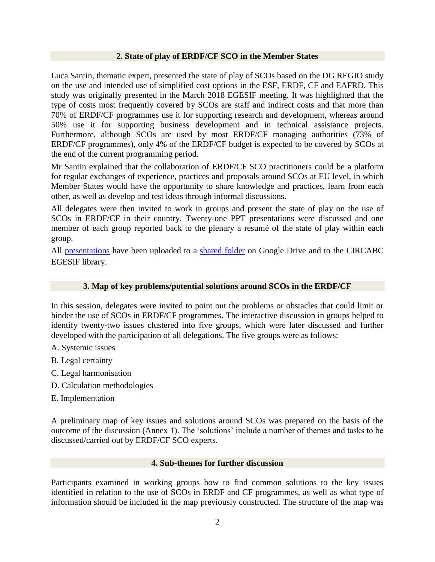#### **2. State of play of ERDF/CF SCO in the Member States**

Luca Santin, thematic expert, presented the state of play of SCOs based on the DG REGIO study on the use and intended use of simplified cost options in the ESF, ERDF, CF and EAFRD. This study was originally presented in the March 2018 EGESIF meeting. It was highlighted that the type of costs most frequently covered by SCOs are staff and indirect costs and that more than 70% of ERDF/CF programmes use it for supporting research and development, whereas around 50% use it for supporting business development and in technical assistance projects. Furthermore, although SCOs are used by most ERDF/CF managing authorities (73% of ERDF/CF programmes), only 4% of the ERDF/CF budget is expected to be covered by SCOs at the end of the current programming period.

Mr Santin explained that the collaboration of ERDF/CF SCO practitioners could be a platform for regular exchanges of experience, practices and proposals around SCOs at EU level, in which Member States would have the opportunity to share knowledge and practices, learn from each other, as well as develop and test ideas through informal discussions.

All delegates were then invited to work in groups and present the state of play on the use of SCOs in ERDF/CF in their country. Twenty-one PPT presentations were discussed and one member of each group reported back to the plenary a resumé of the state of play within each group.

All [presentations](https://drive.google.com/drive/folders/1a2iWFWGkmvekHJxMYXzbswwK0fyynvFy) have been uploaded to a [shared folder](https://drive.google.com/drive/folders/1tWub6unSfT-U3zHaFFE5qc1ag2No991d) on Google Drive and to the CIRCABC EGESIF library.

#### **3. Map of key problems/potential solutions around SCOs in the ERDF/CF**

In this session, delegates were invited to point out the problems or obstacles that could limit or hinder the use of SCOs in ERDF/CF programmes. The interactive discussion in groups helped to identify twenty-two issues clustered into five groups, which were later discussed and further developed with the participation of all delegations. The five groups were as follows:

- A. Systemic issues
- B. Legal certainty
- C. Legal harmonisation
- D. Calculation methodologies
- E. Implementation

A preliminary map of key issues and solutions around SCOs was prepared on the basis of the outcome of the discussion (Annex 1). The 'solutions' include a number of themes and tasks to be discussed/carried out by ERDF/CF SCO experts.

#### **4. Sub-themes for further discussion**

Participants examined in working groups how to find common solutions to the key issues identified in relation to the use of SCOs in ERDF and CF programmes, as well as what type of information should be included in the map previously constructed. The structure of the map was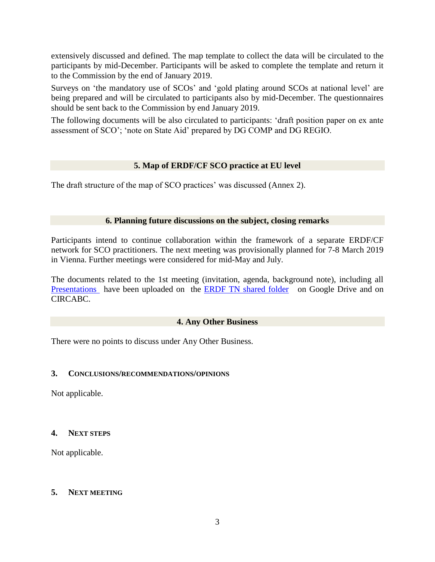extensively discussed and defined. The map template to collect the data will be circulated to the participants by mid-December. Participants will be asked to complete the template and return it to the Commission by the end of January 2019.

Surveys on 'the mandatory use of SCOs' and 'gold plating around SCOs at national level' are being prepared and will be circulated to participants also by mid-December. The questionnaires should be sent back to the Commission by end January 2019.

The following documents will be also circulated to participants: 'draft position paper on ex ante assessment of SCO'; 'note on State Aid' prepared by DG COMP and DG REGIO.

#### **5. Map of ERDF/CF SCO practice at EU level**

The draft structure of the map of SCO practices' was discussed (Annex 2).

#### **6. Planning future discussions on the subject, closing remarks**

Participants intend to continue collaboration within the framework of a separate ERDF/CF network for SCO practitioners. The next meeting was provisionally planned for 7-8 March 2019 in Vienna. Further meetings were considered for mid-May and July.

The documents related to the 1st meeting (invitation, agenda, background note), including all [Presentations](https://drive.google.com/open?id=1a2iWFWGkmvekHJxMYXzbswwK0fyynvFy) have been uploaded on the [ERDF TN shared folder](https://drive.google.com/open?id=1tWub6unSfT-U3zHaFFE5qc1ag2No991d) on Google Drive and on CIRCABC.

#### **4. Any Other Business**

There were no points to discuss under Any Other Business.

#### **3. CONCLUSIONS/RECOMMENDATIONS/OPINIONS**

Not applicable.

#### **4. NEXT STEPS**

Not applicable.

#### **5. NEXT MEETING**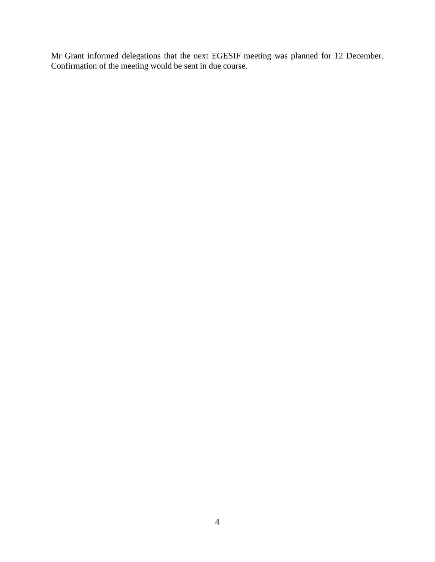Mr Grant informed delegations that the next EGESIF meeting was planned for 12 December. Confirmation of the meeting would be sent in due course.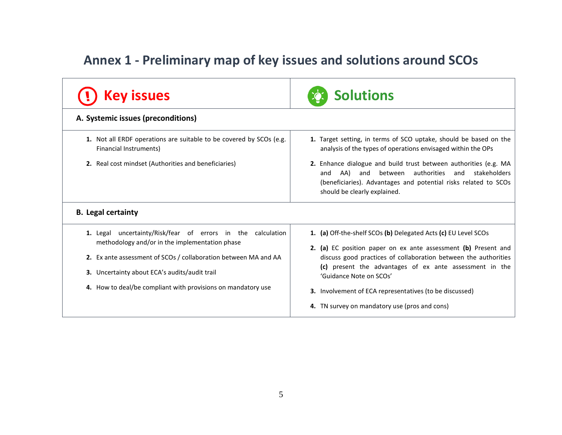# **Annex 1 - Preliminary map of key issues and solutions around SCOs**

| <b>Solutions</b>                                                                                                                                                                                                                                                                                                                            |
|---------------------------------------------------------------------------------------------------------------------------------------------------------------------------------------------------------------------------------------------------------------------------------------------------------------------------------------------|
|                                                                                                                                                                                                                                                                                                                                             |
| 1. Target setting, in terms of SCO uptake, should be based on the<br>analysis of the types of operations envisaged within the OPs<br>2. Enhance dialogue and build trust between authorities (e.g. MA<br>authorities<br>between<br>and stakeholders<br>and<br>AA)<br>and<br>(beneficiaries). Advantages and potential risks related to SCOs |
| should be clearly explained.<br>1. (a) Off-the-shelf SCOs (b) Delegated Acts (c) EU Level SCOs                                                                                                                                                                                                                                              |
| 2. (a) EC position paper on ex ante assessment (b) Present and<br>discuss good practices of collaboration between the authorities                                                                                                                                                                                                           |
| (c) present the advantages of ex ante assessment in the<br>'Guidance Note on SCOs'                                                                                                                                                                                                                                                          |
| <b>3.</b> Involvement of ECA representatives (to be discussed)<br>4. TN survey on mandatory use (pros and cons)                                                                                                                                                                                                                             |
|                                                                                                                                                                                                                                                                                                                                             |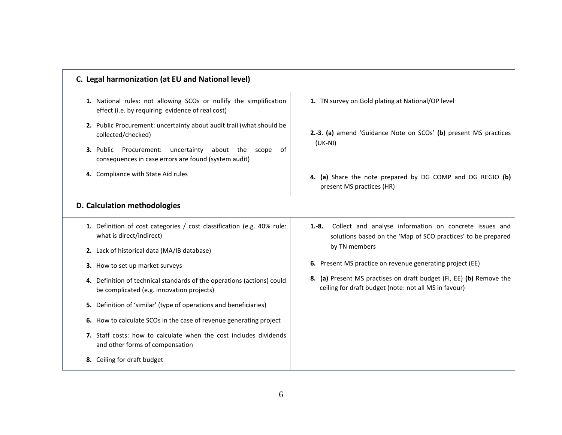| C. Legal harmonization (at EU and National level)                                                                                                                                                                             |                                                                                                                                                    |
|-------------------------------------------------------------------------------------------------------------------------------------------------------------------------------------------------------------------------------|----------------------------------------------------------------------------------------------------------------------------------------------------|
| 1. National rules: not allowing SCOs or nullify the simplification<br>effect (i.e. by requiring evidence of real cost)                                                                                                        | 1. TN survey on Gold plating at National/OP level                                                                                                  |
| 2. Public Procurement: uncertainty about audit trail (what should be<br>collected/checked)<br>uncertainty<br>about<br>3. Public<br>Procurement:<br>the<br>scope<br>of<br>consequences in case errors are found (system audit) | 2.-3. (a) amend 'Guidance Note on SCOs' (b) present MS practices<br>$(UK-NI)$                                                                      |
| 4. Compliance with State Aid rules                                                                                                                                                                                            | 4. (a) Share the note prepared by DG COMP and DG REGIO (b)<br>present MS practices (HR)                                                            |
| D. Calculation methodologies                                                                                                                                                                                                  |                                                                                                                                                    |
| 1. Definition of cost categories / cost classification (e.g. 40% rule:<br>what is direct/indirect)                                                                                                                            | Collect and analyse information on concrete issues and<br>$1.-8.$<br>solutions based on the 'Map of SCO practices' to be prepared<br>by TN members |
| 2. Lack of historical data (MA/IB database)                                                                                                                                                                                   |                                                                                                                                                    |
| 3. How to set up market surveys                                                                                                                                                                                               | 6. Present MS practice on revenue generating project (EE)                                                                                          |
| 4. Definition of technical standards of the operations (actions) could<br>be complicated (e.g. innovation projects)                                                                                                           | 8. (a) Present MS practises on draft budget (FI, EE) (b) Remove the<br>ceiling for draft budget (note: not all MS in favour)                       |
| 5. Definition of 'similar' (type of operations and beneficiaries)                                                                                                                                                             |                                                                                                                                                    |
| 6. How to calculate SCOs in the case of revenue generating project                                                                                                                                                            |                                                                                                                                                    |
| <b>7.</b> Staff costs: how to calculate when the cost includes dividends<br>and other forms of compensation                                                                                                                   |                                                                                                                                                    |
| 8. Ceiling for draft budget                                                                                                                                                                                                   |                                                                                                                                                    |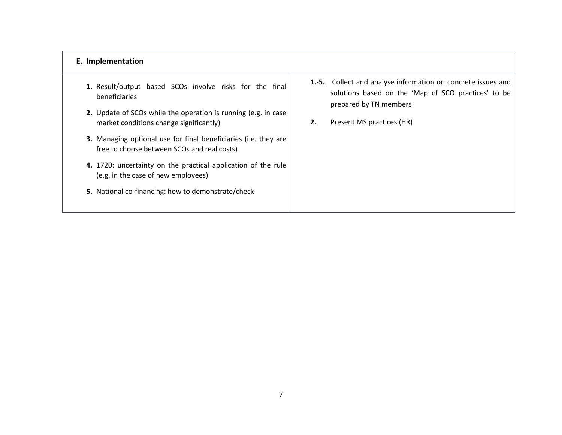#### **E. Implementation**

- **1.** Result/output based SCOs involve risks for the final beneficiaries
- **2.** Update of SCOs while the operation is running (e.g. in case market conditions change significantly)
- **3.** Managing optional use for final beneficiaries (i.e. they are free to choose between SCOs and real costs)
- **4.** 1720: uncertainty on the practical application of the rule (e.g. in the case of new employees)
- **5.** National co-financing: how to demonstrate/check
- **1.-5.** Collect and analyse information on concrete issues and solutions based on the 'Map of SCO practices' to be prepared by TN members
- **2.** Present MS practices (HR)